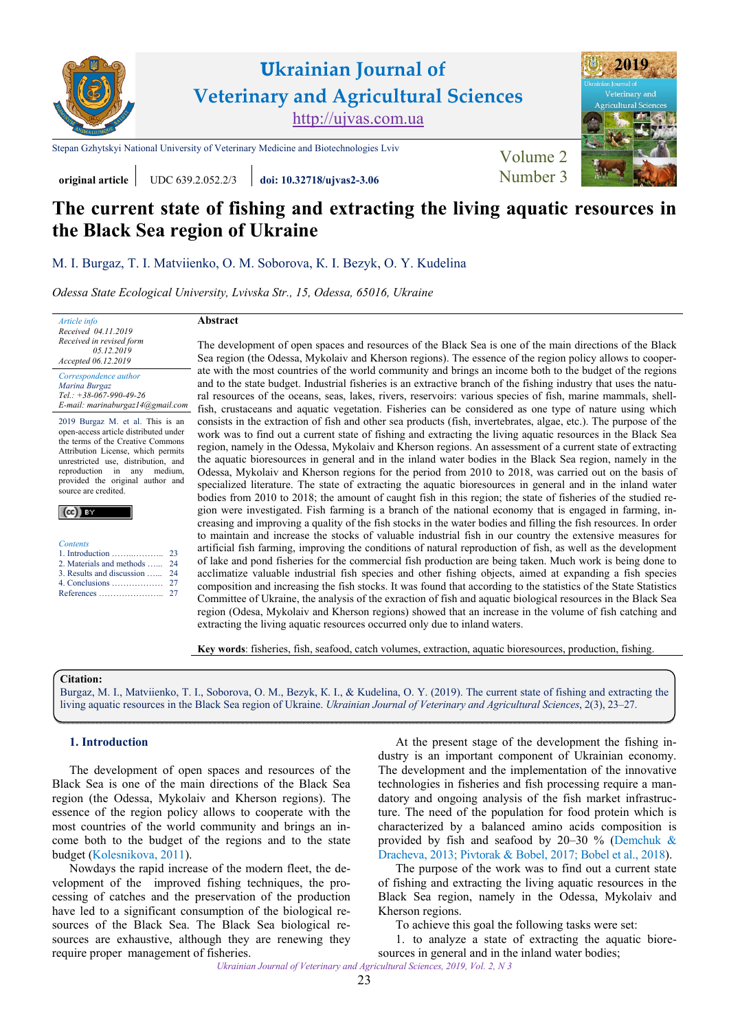

**Ukrainian Journal of Veterinary and Agricultural Sciences** <http://ujvas.com.ua>

[Stepan Gzhytskyi National University of Veterinary Medicine and Biotechnologies Lviv](https://lvet.edu.ua) Volume 2



## **original article** UDC 639.2.052.2/3 **[doi: 10.32718/ujvas2-3.06](https://doi.org/10.32718/ujvas2-3.06)** [Number 3](https://ujvas.com.ua/index.php/journal/issue/view/5)

# **The current state of fishing and extracting the living aquatic resources in the Black Sea region of Ukraine**

[М. І. Burgaz,](http://orcid.org/0000-0003-1551-6002) [Т. І. Matviienko](https://orcid.org/0000-0002-2011-2494), [О. M. Soborova,](https://orcid.org/0000-0003-4065-6242) [К. І. Bezyk](https://orcid.org/0000-0001-7208-1645), [О. Y. Kudelina](https://orcid.org/0000-0001-6341-8701)

*Odessa State Ecological University, Lvivska Str., 15, Odessa, 65016, Ukraine* 

*Article info Received 04.11.2019 Received in revised form 05.12.2019 Accepted 06.12.2019* 

*Correspondence author [Marina Burgaz](https://scholar.google.com.ua/citations?hl=ru&user=s3YvabwAAAAJ)  Tel.: +38-067-990-49-26 E-mail: marinaburgaz14@gmail.com* 

2019 Burgaz M. et al. This is an open-access article distributed under the terms of the Creative Commons Attribution License, which permits unrestricted use, distribution, and reproduction in any medium, provided the original author and source are credited.

| .<br>. ES Y               |
|---------------------------|
|                           |
|                           |
| <b>Contents</b>           |
| 1. Introduction           |
| 2. Materials and methods  |
| 3. Results and discussion |
|                           |

 $I_{\rm ex}$ V

| 2. Materials and methods  24                      |  |
|---------------------------------------------------|--|
| 3. Results and discussion  24                     |  |
| 4. Conclusions $\dots \dots \dots \dots \dots 27$ |  |
|                                                   |  |

23

## **Abstract**

The development of open spaces and resources of the Black Sea is one of the main directions of the Black Sea region (the Odessa, Mykolaiv and Kherson regions). The essence of the region policy allows to cooperate with the most countries of the world community and brings an income both to the budget of the regions and to the state budget. Industrial fisheries is an extractive branch of the fishing industry that uses the natural resources of the oceans, seas, lakes, rivers, reservoirs: various species of fish, marine mammals, shellfish, crustaceans and aquatic vegetation. Fisheries can be considered as one type of nature using which consists in the extraction of fish and other sea products (fish, invertebrates, algae, etc.). The purpose of the work was to find out a current state of fishing and extracting the living aquatic resources in the Black Sea region, namely in the Odessa, Mykolaiv and Kherson regions. An assessment of a current state of extracting the aquatic bioresources in general and in the inland water bodies in the Black Sea region, namely in the Odessa, Mykolaiv and Kherson regions for the period from 2010 to 2018, was carried out on the basis of specialized literature. The state of extracting the aquatic bioresources in general and in the inland water bodies from 2010 to 2018; the amount of caught fish in this region; the state of fisheries of the studied region were investigated. Fish farming is a branch of the national economy that is engaged in farming, increasing and improving a quality of the fish stocks in the water bodies and filling the fish resources. In order to maintain and increase the stocks of valuable industrial fish in our country the extensive measures for artificial fish farming, improving the conditions of natural reproduction of fish, as well as the development of lake and pond fisheries for the commercial fish production are being taken. Much work is being done to acclimatize valuable industrial fish species and other fishing objects, aimed at expanding a fish species composition and increasing the fish stocks. It was found that according to the statistics of the State Statistics Committee of Ukraine, the analysis of the exraction of fish and aquatic biological resources in the Black Sea region (Odesa, Mykolaiv and Kherson regions) showed that an increase in the volume of fish catching and extracting the living aquatic resources occurred only due to inland waters.

**Key words**: fisheries, fish, seafood, catch volumes, extraction, aquatic bioresources, production, fishing.

#### **Citation:**

[Burgaz, М. І., Matviienko, Т. І., Soborova, О. M., Bezyk, К. І., & Kudelina, О. Y. \(2019\). The current state of fishing and extracting the](https://doi.org/10.32718/ujvas2-3.06) living aquatic resources in the Black Sea region of Ukraine. *Ukrainian Journal of Veterinary and Agricultural Sciences*, 2(3), 23–27.

### **1. Introduction**

The development of open spaces and resources of the Black Sea is one of the main directions of the Black Sea region (the Odessa, Mykolaiv and Kherson regions). The essence of the region policy allows to cooperate with the most countries of the world community and brings an income both to the budget of the regions and to the state budget ([Kolesnikova, 2011](#page-4-0)).

Nowdays the rapid increase of the modern fleet, the development of the improved fishing techniques, the processing of catches and the preservation of the production have led to a significant consumption of the biological resources of the Black Sea. The Black Sea biological resources are exhaustive, although they are renewing they require proper management of fisheries.

At the present stage of the development the fishing industry is an important component of Ukrainian economy. The development and the implementation of the innovative technologies in fisheries and fish processing require a mandatory and ongoing analysis of the fish market infrastructure. The need of the population for food protein which is characterized by a balanced amino acids composition is provided by fish and seafood by 20–30 % ([Demchuk &](#page-4-0)  [Dracheva, 2013; Pivtorak & Bobel, 2017; Bobel et al., 2018\)](#page-4-0).

The purpose of the work was to find out a current state of fishing and extracting the living aquatic resources in the Black Sea region, namely in the Odessa, Mykolaiv and Kherson regions.

To achieve this goal the following tasks were set:

1. to analyze a state of extracting the aquatic bioresources in general and in the inland water bodies;

*Ukrainian Journal of Veterinary and Agricultural Sciences, 2019, Vol. 2, N 3*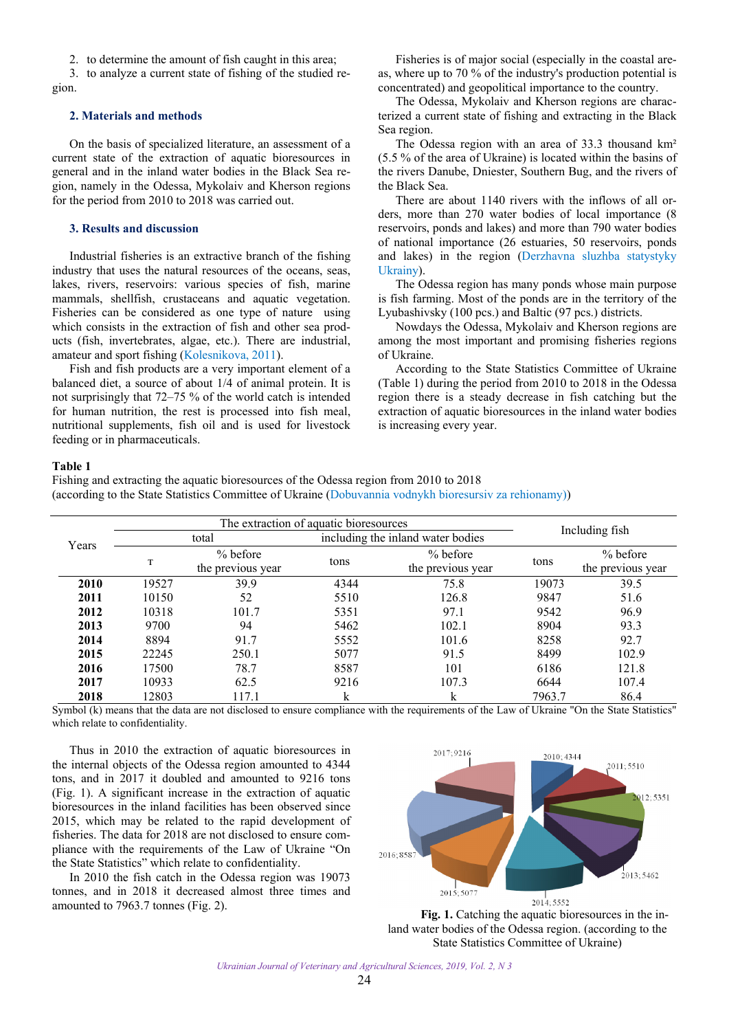2. to determine the amount of fish caught in this area;

<span id="page-1-0"></span>3. to analyze a current state of fishing of the studied region.

#### **2. Materials and methods**

On the basis of specialized literature, an assessment of a current state of the extraction of aquatic bioresources in general and in the inland water bodies in the Black Sea region, namely in the Odessa, Mykolaiv and Kherson regions for the period from 2010 to 2018 was carried out.

#### **3. Results and discussion**

Industrial fisheries is an extractive branch of the fishing industry that uses the natural resources of the oceans, seas, lakes, rivers, reservoirs: various species of fish, marine mammals, shellfish, crustaceans and aquatic vegetation. Fisheries can be considered as one type of nature using which consists in the extraction of fish and other sea products (fish, invertebrates, algae, etc.). There are industrial, amateur and sport fishing [\(Kolesnikova, 2011\)](#page-4-0).

Fish and fish products are a very important element of a balanced diet, a source of about 1/4 of animal protein. It is not surprisingly that 72–75 % of the world catch is intended for human nutrition, the rest is processed into fish meal, nutritional supplements, fish oil and is used for livestock feeding or in pharmaceuticals.

Fisheries is of major social (especially in the coastal areas, where up to 70 % of the industry's production potential is concentrated) and geopolitical importance to the country.

The Odessa, Mykolaiv and Kherson regions are characterized a current state of fishing and extracting in the Black Sea region.

The Odessa region with an area of 33.3 thousand km² (5.5 % of the area of Ukraine) is located within the basins of the rivers Danube, Dniester, Southern Bug, and the rivers of the Black Sea.

There are about 1140 rivers with the inflows of all orders, more than 270 water bodies of local importance (8 reservoirs, ponds and lakes) and more than 790 water bodies of national importance (26 estuaries, 50 reservoirs, ponds and lakes) in the region [\(Derzhavna sluzhba statystyky](#page-4-0)  [Ukrainy\)](#page-4-0).

The Odessa region has many ponds whose main purpose is fish farming. Most of the ponds are in the territory of the Lyubashivsky (100 pcs.) and Baltic (97 pcs.) districts.

Nowdays the Odessa, Mykolaiv and Kherson regions are among the most important and promising fisheries regions of Ukraine.

According to the State Statistics Committee of Ukraine (Table 1) during the period from 2010 to 2018 in the Odessa region there is a steady decrease in fish catching but the extraction of aquatic bioresources in the inland water bodies is increasing every year.

#### **Table 1**

Fishing and extracting the aquatic bioresources of the Odessa region from 2010 to 2018 (according to the State Statistics Committee of Ukraine ([Dobuvannia vodnykh bioresursiv za rehionamy\)](#page-4-0))

|       | The extraction of aquatic bioresources |                                 |                                   |                                        |                |                                 |
|-------|----------------------------------------|---------------------------------|-----------------------------------|----------------------------------------|----------------|---------------------------------|
| Years | total                                  |                                 | including the inland water bodies |                                        | Including fish |                                 |
|       | T                                      | $%$ before<br>the previous year | tons                              | $% \theta$ before<br>the previous year | tons           | $%$ before<br>the previous year |
| 2010  | 19527                                  | 39.9                            | 4344                              | 75.8                                   | 19073          | 39.5                            |
| 2011  | 10150                                  | 52                              | 5510                              | 126.8                                  | 9847           | 51.6                            |
| 2012  | 10318                                  | 101.7                           | 5351                              | 97.1                                   | 9542           | 96.9                            |
| 2013  | 9700                                   | 94                              | 5462                              | 102.1                                  | 8904           | 93.3                            |
| 2014  | 8894                                   | 91.7                            | 5552                              | 101.6                                  | 8258           | 92.7                            |
| 2015  | 22245                                  | 250.1                           | 5077                              | 91.5                                   | 8499           | 102.9                           |
| 2016  | 17500                                  | 78.7                            | 8587                              | 101                                    | 6186           | 121.8                           |
| 2017  | 10933                                  | 62.5                            | 9216                              | 107.3                                  | 6644           | 107.4                           |
| 2018  | 12803                                  | 117.1                           | k                                 | k                                      | 7963.7         | 86.4                            |

Symbol (k) means that the data are not disclosed to ensure compliance with the requirements of the Law of Ukraine "On the State Statistics" which relate to confidentiality.

Thus in 2010 the extraction of aquatic bioresources in the internal objects of the Odessa region amounted to 4344 tons, and in 2017 it doubled and amounted to 9216 tons (Fig. 1). A significant increase in the extraction of aquatic bioresources in the inland facilities has been observed since 2015, which may be related to the rapid development of fisheries. The data for 2018 are not disclosed to ensure compliance with the requirements of the Law of Ukraine "On the State Statistics" which relate to confidentiality.

In 2010 the fish catch in the Odessa region was 19073 tonnes, and in 2018 it decreased almost three times and amounted to 7963.7 tonnes (Fig. 2).<br>**Fig. 1.** Catching the aquatic bioresources in the in-



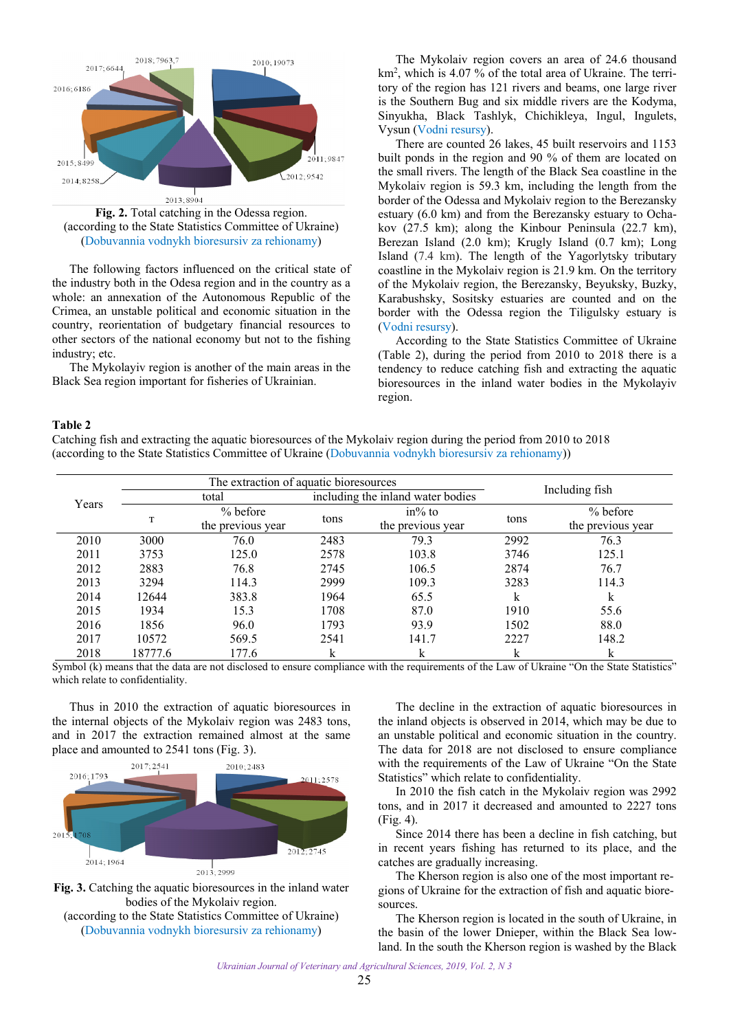

**Fig. 2.** Total catching in the Odessa region. (according to the State Statistics Committee of Ukraine) [\(Dobuvannia vodnykh bioresursiv za rehionamy](#page-4-0))

The following factors influenced on the critical state of the industry both in the Odesa region and in the country as a whole: an annexation of the Autonomous Republic of the Crimea, an unstable political and economic situation in the country, reorientation of budgetary financial resources to other sectors of the national economy but not to the fishing industry; etc.

The Mykolayiv region is another of the main areas in the Black Sea region important for fisheries of Ukrainian.

The Mykolaiv region covers an area of 24.6 thousand km<sup>2</sup>, which is 4.07 % of the total area of Ukraine. The territory of the region has 121 rivers and beams, one large river is the Southern Bug and six middle rivers are the Kodyma, Sinyukha, Black Tashlyk, Chichikleya, Ingul, Ingulets, Vysun ([Vodni resursy](#page-4-0)).

There are counted 26 lakes, 45 built reservoirs and 1153 built ponds in the region and 90 % of them are located on the small rivers. The length of the Black Sea coastline in the Mykolaiv region is 59.3 km, including the length from the border of the Odessa and Mykolaiv region to the Berezansky estuary (6.0 km) and from the Berezansky estuary to Ochakov (27.5 km); along the Kinbour Peninsula (22.7 km), Berezan Island (2.0 km); Krugly Island (0.7 km); Long Island (7.4 km). The length of the Yagorlytsky tributary coastline in the Mykolaiv region is 21.9 km. On the territory of the Mykolaiv region, the Berezansky, Beyuksky, Buzky, Karabushsky, Sositsky estuaries are counted and on the border with the Odessa region the Tiligulsky estuary is [\(Vodni resursy\)](#page-4-0).

According to the State Statistics Committee of Ukraine (Table 2), during the period from 2010 to 2018 there is a tendency to reduce catching fish and extracting the aquatic bioresources in the inland water bodies in the Mykolayiv region.

#### **Table 2**

Catching fish and extracting the aquatic bioresources of the Mykolaiv region during the period from 2010 to 2018 (according to the State Statistics Committee of Ukraine ([Dobuvannia vodnykh bioresursiv za rehionamy\)](#page-4-0))

|       |         | The extraction of aquatic bioresources |                                   |                                |                |                                 |  |
|-------|---------|----------------------------------------|-----------------------------------|--------------------------------|----------------|---------------------------------|--|
| Years | total   |                                        | including the inland water bodies |                                | Including fish |                                 |  |
|       | T       | $% \theta$ before<br>the previous year | tons                              | $in\%$ to<br>the previous year | tons           | $%$ before<br>the previous year |  |
| 2010  | 3000    | 76.0                                   | 2483                              | 79.3                           | 2992           | 76.3                            |  |
| 2011  | 3753    | 125.0                                  | 2578                              | 103.8                          | 3746           | 125.1                           |  |
| 2012  | 2883    | 76.8                                   | 2745                              | 106.5                          | 2874           | 76.7                            |  |
| 2013  | 3294    | 114.3                                  | 2999                              | 109.3                          | 3283           | 114.3                           |  |
| 2014  | 12644   | 383.8                                  | 1964                              | 65.5                           | k              | k                               |  |
| 2015  | 1934    | 15.3                                   | 1708                              | 87.0                           | 1910           | 55.6                            |  |
| 2016  | 1856    | 96.0                                   | 1793                              | 93.9                           | 1502           | 88.0                            |  |
| 2017  | 10572   | 569.5                                  | 2541                              | 141.7                          | 2227           | 148.2                           |  |
| 2018  | 18777.6 | 177.6                                  | k                                 | k                              | k              | k                               |  |

Symbol (k) means that the data are not disclosed to ensure compliance with the requirements of the Law of Ukraine "On the State Statistics" which relate to confidentiality.

Thus in 2010 the extraction of aquatic bioresources in the internal objects of the Mykolaiv region was 2483 tons, and in 2017 the extraction remained almost at the same place and amounted to 2541 tons (Fig. 3).



**Fig. 3.** Catching the aquatic bioresources in the inland water bodies of the Mykolaiv region. (according to the State Statistics Committee of Ukraine)

[\(Dobuvannia vodnykh bioresursiv za rehionamy](#page-4-0))

The decline in the extraction of aquatic bioresources in the inland objects is observed in 2014, which may be due to an unstable political and economic situation in the country. The data for 2018 are not disclosed to ensure compliance with the requirements of the Law of Ukraine "On the State Statistics" which relate to confidentiality.

In 2010 the fish catch in the Mykolaiv region was 2992 tons, and in 2017 it decreased and amounted to 2227 tons (Fig. 4).

Since 2014 there has been a decline in fish catching, but in recent years fishing has returned to its place, and the catches are gradually increasing.

The Kherson region is also one of the most important regions of Ukraine for the extraction of fish and aquatic bioresources.

The Kherson region is located in the south of Ukraine, in the basin of the lower Dnieper, within the Black Sea lowland. In the south the Kherson region is washed by the Black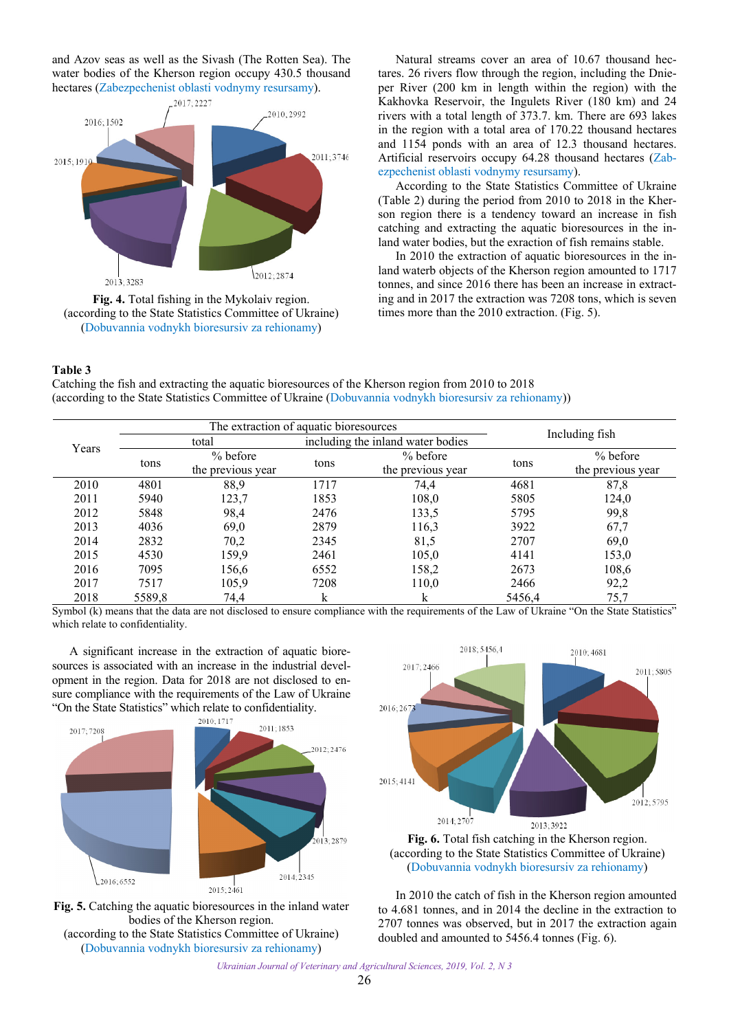and Azov seas as well as the Sivash (The Rotten Sea). The water bodies of the Kherson region occupy 430.5 thousand hectares [\(Zabezpechenist oblasti vodnymy resursamy](#page-4-0)).





Natural streams cover an area of 10.67 thousand hectares. 26 rivers flow through the region, including the Dnieper River (200 km in length within the region) with the Kakhovka Reservoir, the Ingulets River (180 km) and 24 rivers with a total length of 373.7. km. There are 693 lakes in the region with a total area of 170.22 thousand hectares and 1154 ponds with an area of 12.3 thousand hectares. Artificial reservoirs occupy 64.28 thousand hectares ([Zab](#page-4-0)[ezpechenist oblasti vodnymy resursamy\)](#page-4-0).

According to the State Statistics Committee of Ukraine (Table 2) during the period from 2010 to 2018 in the Kherson region there is a tendency toward an increase in fish catching and extracting the aquatic bioresources in the inland water bodies, but the exraction of fish remains stable.

In 2010 the extraction of aquatic bioresources in the inland waterb objects of the Kherson region amounted to 1717 tonnes, and since 2016 there has been an increase in extracting and in 2017 the extraction was 7208 tons, which is seven times more than the 2010 extraction. (Fig. 5).

## **Table 3**

Catching the fish and extracting the aquatic bioresources of the Kherson region from 2010 to 2018 (according to the State Statistics Committee of Ukraine ([Dobuvannia vodnykh bioresursiv za rehionamy\)](#page-4-0))

|       |        | The extraction of aquatic bioresources |      |                                   |                |                               |  |
|-------|--------|----------------------------------------|------|-----------------------------------|----------------|-------------------------------|--|
| Years | total  |                                        |      | including the inland water bodies | Including fish |                               |  |
|       | tons   | $%$ before<br>the previous year        | tons | % before<br>the previous year     | tons           | % before<br>the previous year |  |
| 2010  | 4801   | 88,9                                   | 1717 | 74,4                              | 4681           | 87,8                          |  |
| 2011  | 5940   | 123,7                                  | 1853 | 108,0                             | 5805           | 124,0                         |  |
| 2012  | 5848   | 98,4                                   | 2476 | 133,5                             | 5795           | 99,8                          |  |
| 2013  | 4036   | 69,0                                   | 2879 | 116,3                             | 3922           | 67,7                          |  |
| 2014  | 2832   | 70,2                                   | 2345 | 81,5                              | 2707           | 69,0                          |  |
| 2015  | 4530   | 159,9                                  | 2461 | 105,0                             | 4141           | 153,0                         |  |
| 2016  | 7095   | 156,6                                  | 6552 | 158,2                             | 2673           | 108,6                         |  |
| 2017  | 7517   | 105,9                                  | 7208 | 110,0                             | 2466           | 92,2                          |  |
| 2018  | 5589,8 | 74,4                                   | k    | k                                 | 5456,4         | 75,7                          |  |

Symbol (k) means that the data are not disclosed to ensure compliance with the requirements of the Law of Ukraine "On the State Statistics" which relate to confidentiality.

A significant increase in the extraction of aquatic bioresources is associated with an increase in the industrial development in the region. Data for 2018 are not disclosed to ensure compliance with the requirements of the Law of Ukraine "On the State Statistics" which relate to confidentiality.





[\(Dobuvannia vodnykh bioresursiv za rehionamy](#page-4-0))





In 2010 the catch of fish in the Kherson region amounted to 4.681 tonnes, and in 2014 the decline in the extraction to 2707 tonnes was observed, but in 2017 the extraction again doubled and amounted to 5456.4 tonnes (Fig. 6).